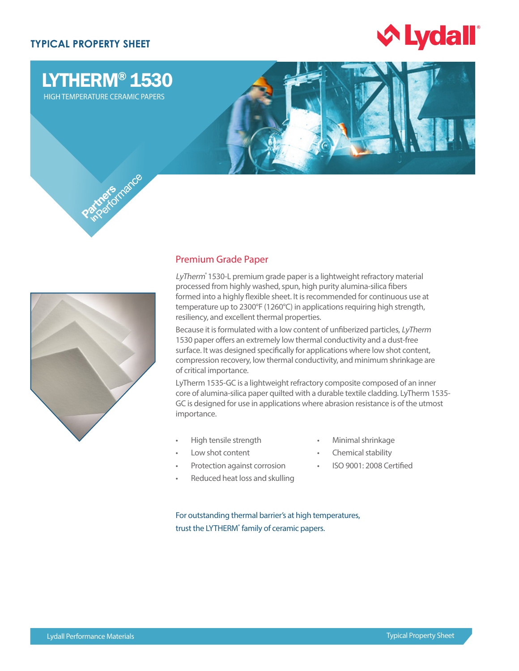# **TYPICAL PROPERTY SHEET**



# LYTHERM® 1530

HIGH TEMPERATURE CERAMIC PAPERS





## Premium Grade Paper

LyTherm<sup>®</sup> 1530-L premium grade paper is a lightweight refractory material processed from highly washed, spun, high purity alumina-silica fibers formed into a highly flexible sheet. It is recommended for continuous use at temperature up to 2300°F (1260°C) in applications requiring high strength, resiliency, and excellent thermal properties.

Because it is formulated with a low content of unfiberized particles, LyTherm 1530 paper offers an extremely low thermal conductivity and a dust-free surface. It was designed specifically for applications where low shot content, compression recovery, low thermal conductivity, and minimum shrinkage are of critical importance.

LyTherm 1535-GC is a lightweight refractory composite composed of an inner core of alumina-silica paper quilted with a durable textile cladding. LyTherm 1535- GC is designed for use in applications where abrasion resistance is of the utmost importance.

- High tensile strength
- Low shot content
	- Protection against corrosion
- 
- Reduced heat loss and skulling
- Minimal shrinkage
- Chemical stability
- ISO 9001: 2008 Certified

For outstanding thermal barrier's at high temperatures, trust the LYTHERM<sup>®</sup> family of ceramic papers.